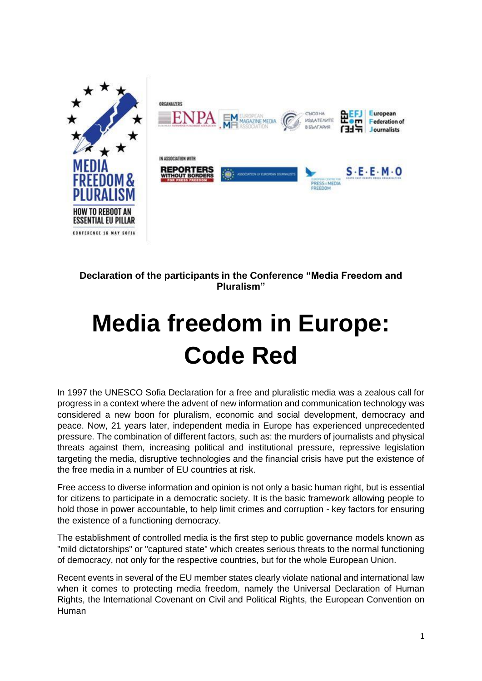

#### **Declaration of the participants in the Conference "Media Freedom and Pluralism"**

# **Media freedom in Europe: Code Red**

In 1997 the UNESCO Sofia Declaration for a free and pluralistic media was a zealous call for progress in a context where the advent of new information and communication technology was considered a new boon for pluralism, economic and social development, democracy and peace. Now, 21 years later, independent media in Europe has experienced unprecedented pressure. The combination of different factors, such as: the murders of journalists and physical threats against them, increasing political and institutional pressure, repressive legislation targeting the media, disruptive technologies and the financial crisis have put the existence of the free media in a number of EU countries at risk.

Free access to diverse information and opinion is not only a basic human right, but is essential for citizens to participate in a democratic society. It is the basic framework allowing people to hold those in power accountable, to help limit crimes and corruption - key factors for ensuring the existence of a functioning democracy.

The establishment of controlled media is the first step to public governance models known as "mild dictatorships" or "captured state" which creates serious threats to the normal functioning of democracy, not only for the respective countries, but for the whole European Union.

Recent events in several of the EU member states clearly violate national and international law when it comes to protecting media freedom, namely the Universal Declaration of Human Rights, the International Covenant on Civil and Political Rights, the European Convention on Human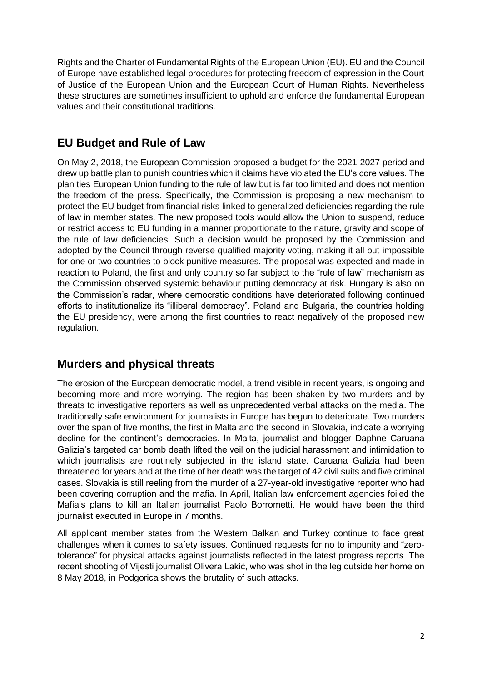Rights and the Charter of Fundamental Rights of the European Union (EU). EU and the Council of Europe have established legal procedures for protecting freedom of expression in the Court of Justice of the European Union and the European Court of Human Rights. Nevertheless these structures are sometimes insufficient to uphold and enforce the fundamental European values and their constitutional traditions.

## **EU Budget and Rule of Law**

On May 2, 2018, the European Commission proposed a budget for the 2021-2027 period and drew up battle plan to punish countries which it claims have violated the EU's core values. The plan ties European Union funding to the rule of law but is far too limited and does not mention the freedom of the press. Specifically, the Commission is proposing a new mechanism to protect the EU budget from financial risks linked to generalized deficiencies regarding the rule of law in member states. The new proposed tools would allow the Union to suspend, reduce or restrict access to EU funding in a manner proportionate to the nature, gravity and scope of the rule of law deficiencies. Such a decision would be proposed by the Commission and adopted by the Council through reverse qualified majority voting, making it all but impossible for one or two countries to block punitive measures. The proposal was expected and made in reaction to Poland, the first and only country so far subject to the "rule of law" mechanism as the Commission observed systemic behaviour putting democracy at risk. Hungary is also on the Commission's radar, where democratic conditions have deteriorated following continued efforts to institutionalize its "illiberal democracy". Poland and Bulgaria, the countries holding the EU presidency, were among the first countries to react negatively of the proposed new regulation.

# **Murders and physical threats**

The erosion of the European democratic model, a trend visible in recent years, is ongoing and becoming more and more worrying. The region has been shaken by two murders and by threats to investigative reporters as well as unprecedented verbal attacks on the media. The traditionally safe environment for journalists in Europe has begun to deteriorate. Two murders over the span of five months, the first in Malta and the second in Slovakia, indicate a worrying decline for the continent's democracies. In Malta, journalist and blogger Daphne Caruana Galizia's targeted car bomb death lifted the veil on the judicial harassment and intimidation to which journalists are routinely subjected in the island state. Caruana Galizia had been threatened for years and at the time of her death was the target of 42 civil suits and five criminal cases. Slovakia is still reeling from the murder of a 27-year-old investigative reporter who had been covering corruption and the mafia. In April, Italian law enforcement agencies foiled the Mafia's plans to kill an Italian journalist Paolo Borrometti. He would have been the third journalist executed in Europe in 7 months.

All applicant member states from the Western Balkan and Turkey continue to face great challenges when it comes to safety issues. Continued requests for no to impunity and "zerotolerance" for physical attacks against journalists reflected in the latest progress reports. The recent shooting of Vijesti journalist Olivera Lakić, who was shot in the leg outside her home on 8 May 2018, in Podgorica shows the brutality of such attacks.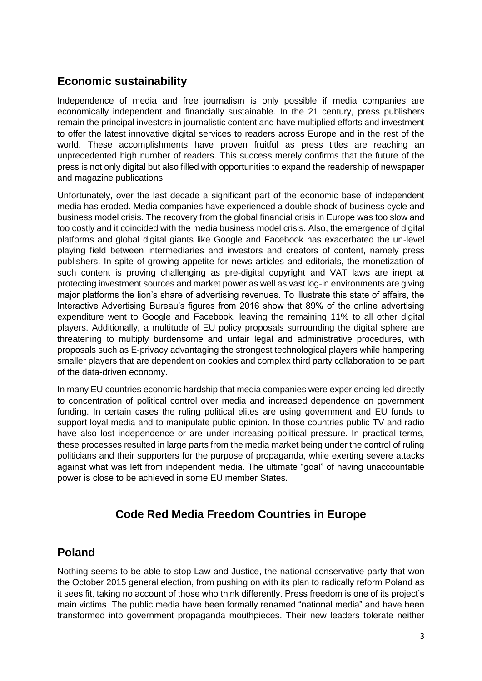#### **Economic sustainability**

Independence of media and free journalism is only possible if media companies are economically independent and financially sustainable. In the 21 century, press publishers remain the principal investors in journalistic content and have multiplied efforts and investment to offer the latest innovative digital services to readers across Europe and in the rest of the world. These accomplishments have proven fruitful as press titles are reaching an unprecedented high number of readers. This success merely confirms that the future of the press is not only digital but also filled with opportunities to expand the readership of newspaper and magazine publications.

Unfortunately, over the last decade a significant part of the economic base of independent media has eroded. Media companies have experienced a double shock of business cycle and business model crisis. The recovery from the global financial crisis in Europe was too slow and too costly and it coincided with the media business model crisis. Also, the emergence of digital platforms and global digital giants like Google and Facebook has exacerbated the un-level playing field between intermediaries and investors and creators of content, namely press publishers. In spite of growing appetite for news articles and editorials, the monetization of such content is proving challenging as pre-digital copyright and VAT laws are inept at protecting investment sources and market power as well as vast log-in environments are giving major platforms the lion's share of advertising revenues. To illustrate this state of affairs, the Interactive Advertising Bureau's figures from 2016 show that 89% of the online advertising expenditure went to Google and Facebook, leaving the remaining 11% to all other digital players. Additionally, a multitude of EU policy proposals surrounding the digital sphere are threatening to multiply burdensome and unfair legal and administrative procedures, with proposals such as E-privacy advantaging the strongest technological players while hampering smaller players that are dependent on cookies and complex third party collaboration to be part of the data-driven economy.

In many EU countries economic hardship that media companies were experiencing led directly to concentration of political control over media and increased dependence on government funding. In certain cases the ruling political elites are using government and EU funds to support loyal media and to manipulate public opinion. In those countries public TV and radio have also lost independence or are under increasing political pressure. In practical terms, these processes resulted in large parts from the media market being under the control of ruling politicians and their supporters for the purpose of propaganda, while exerting severe attacks against what was left from independent media. The ultimate "goal" of having unaccountable power is close to be achieved in some EU member States.

# **Code Red Media Freedom Countries in Europe**

#### **Poland**

Nothing seems to be able to stop Law and Justice, the national-conservative party that won the October 2015 general election, from pushing on with its plan to radically reform Poland as it sees fit, taking no account of those who think differently. Press freedom is one of its project's main victims. The public media have been formally renamed "national media" and have been transformed into government propaganda mouthpieces. Their new leaders tolerate neither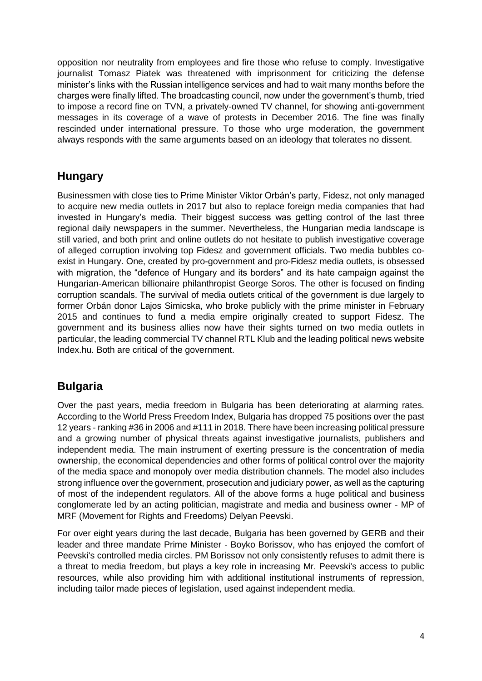opposition nor neutrality from employees and fire those who refuse to comply. Investigative journalist Tomasz Piatek was threatened with imprisonment for criticizing the defense minister's links with the Russian intelligence services and had to wait many months before the charges were finally lifted. The broadcasting council, now under the government's thumb, tried to impose a record fine on TVN, a privately-owned TV channel, for showing anti-government messages in its coverage of a wave of protests in December 2016. The fine was finally rescinded under international pressure. To those who urge moderation, the government always responds with the same arguments based on an ideology that tolerates no dissent.

#### **Hungary**

Businessmen with close ties to Prime Minister Viktor Orbán's party, Fidesz, not only managed to acquire new media outlets in 2017 but also to replace foreign media companies that had invested in Hungary's media. Their biggest success was getting control of the last three regional daily newspapers in the summer. Nevertheless, the Hungarian media landscape is still varied, and both print and online outlets do not hesitate to publish investigative coverage of alleged corruption involving top Fidesz and government officials. Two media bubbles coexist in Hungary. One, created by pro-government and pro-Fidesz media outlets, is obsessed with migration, the "defence of Hungary and its borders" and its hate campaign against the Hungarian-American billionaire philanthropist George Soros. The other is focused on finding corruption scandals. The survival of media outlets critical of the government is due largely to former Orbán donor Lajos Simicska, who broke publicly with the prime minister in February 2015 and continues to fund a media empire originally created to support Fidesz. The government and its business allies now have their sights turned on two media outlets in particular, the leading commercial TV channel RTL Klub and the leading political news website Index.hu. Both are critical of the government.

# **Bulgaria**

Over the past years, media freedom in Bulgaria has been deteriorating at alarming rates. According to the World Press Freedom Index, Bulgaria has dropped 75 positions over the past 12 years - ranking #36 in 2006 and #111 in 2018. There have been increasing political pressure and a growing number of physical threats against investigative journalists, publishers and independent media. The main instrument of exerting pressure is the concentration of media ownership, the economical dependencies and other forms of political control over the majority of the media space and monopoly over media distribution channels. The model also includes strong influence over the government, prosecution and judiciary power, as well as the capturing of most of the independent regulators. All of the above forms a huge political and business conglomerate led by an acting politician, magistrate and media and business owner - MP of MRF (Movement for Rights and Freedoms) Delyan Peevski.

For over eight years during the last decade, Bulgaria has been governed by GERB and their leader and three mandate Prime Minister - Boyko Borissov, who has enjoyed the comfort of Peevski's controlled media circles. PM Borissov not only consistently refuses to admit there is a threat to media freedom, but plays a key role in increasing Mr. Peevski's access to public resources, while also providing him with additional institutional instruments of repression, including tailor made pieces of legislation, used against independent media.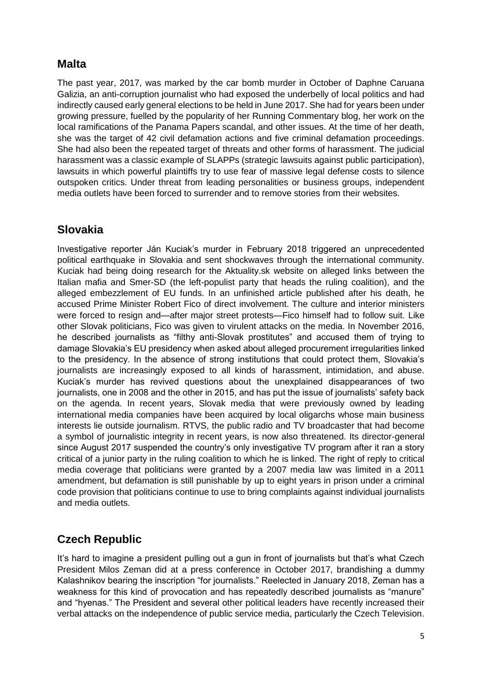### **Malta**

The past year, 2017, was marked by the car bomb murder in October of Daphne Caruana Galizia, an anti-corruption journalist who had exposed the underbelly of local politics and had indirectly caused early general elections to be held in June 2017. She had for years been under growing pressure, fuelled by the popularity of her Running Commentary blog, her work on the local ramifications of the Panama Papers scandal, and other issues. At the time of her death, she was the target of 42 civil defamation actions and five criminal defamation proceedings. She had also been the repeated target of threats and other forms of harassment. The judicial harassment was a classic example of SLAPPs (strategic lawsuits against public participation), lawsuits in which powerful plaintiffs try to use fear of massive legal defense costs to silence outspoken critics. Under threat from leading personalities or business groups, independent media outlets have been forced to surrender and to remove stories from their websites.

### **Slovakia**

Investigative reporter Ján Kuciak's murder in February 2018 triggered an unprecedented political earthquake in Slovakia and sent shockwaves through the international community. Kuciak had being doing research for the Aktuality.sk website on alleged links between the Italian mafia and Smer-SD (the left-populist party that heads the ruling coalition), and the alleged embezzlement of EU funds. In an unfinished article published after his death, he accused Prime Minister Robert Fico of direct involvement. The culture and interior ministers were forced to resign and—after major street protests—Fico himself had to follow suit. Like other Slovak politicians, Fico was given to virulent attacks on the media. In November 2016, he described journalists as "filthy anti-Slovak prostitutes" and accused them of trying to damage Slovakia's EU presidency when asked about alleged procurement irregularities linked to the presidency. In the absence of strong institutions that could protect them, Slovakia's journalists are increasingly exposed to all kinds of harassment, intimidation, and abuse. Kuciak's murder has revived questions about the unexplained disappearances of two journalists, one in 2008 and the other in 2015, and has put the issue of journalists' safety back on the agenda. In recent years, Slovak media that were previously owned by leading international media companies have been acquired by local oligarchs whose main business interests lie outside journalism. RTVS, the public radio and TV broadcaster that had become a symbol of journalistic integrity in recent years, is now also threatened. Its director-general since August 2017 suspended the country's only investigative TV program after it ran a story critical of a junior party in the ruling coalition to which he is linked. The right of reply to critical media coverage that politicians were granted by a 2007 media law was limited in a 2011 amendment, but defamation is still punishable by up to eight years in prison under a criminal code provision that politicians continue to use to bring complaints against individual journalists and media outlets.

# **Czech Republic**

It's hard to imagine a president pulling out a gun in front of journalists but that's what Czech President Milos Zeman did at a press conference in October 2017, brandishing a dummy Kalashnikov bearing the inscription "for journalists." Reelected in January 2018, Zeman has a weakness for this kind of provocation and has repeatedly described journalists as "manure" and "hyenas." The President and several other political leaders have recently increased their verbal attacks on the independence of public service media, particularly the Czech Television.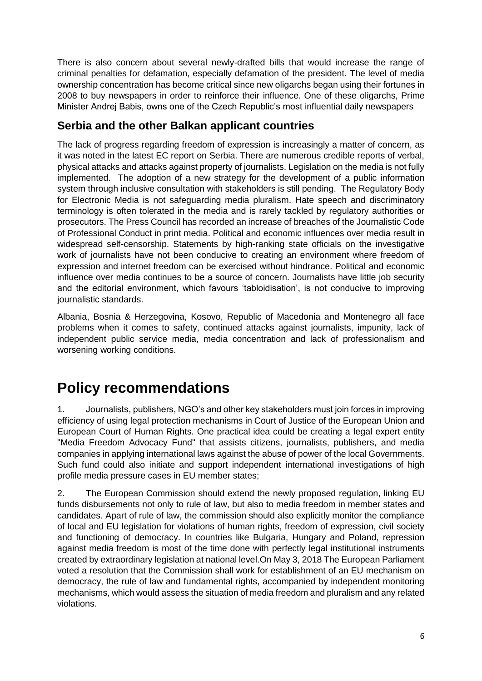There is also concern about several newly-drafted bills that would increase the range of criminal penalties for defamation, especially defamation of the president. The level of media ownership concentration has become critical since new oligarchs began using their fortunes in 2008 to buy newspapers in order to reinforce their influence. One of these oligarchs, Prime Minister Andrej Babis, owns one of the Czech Republic's most influential daily newspapers

#### **Serbia and the other Balkan applicant countries**

The lack of progress regarding freedom of expression is increasingly a matter of concern, as it was noted in the latest EC report on Serbia. There are numerous credible reports of verbal, physical attacks and attacks against property of journalists. Legislation on the media is not fully implemented. The adoption of a new strategy for the development of a public information system through inclusive consultation with stakeholders is still pending. The Regulatory Body for Electronic Media is not safeguarding media pluralism. Hate speech and discriminatory terminology is often tolerated in the media and is rarely tackled by regulatory authorities or prosecutors. The Press Council has recorded an increase of breaches of the Journalistic Code of Professional Conduct in print media. Political and economic influences over media result in widespread self-censorship. Statements by high-ranking state officials on the investigative work of journalists have not been conducive to creating an environment where freedom of expression and internet freedom can be exercised without hindrance. Political and economic influence over media continues to be a source of concern. Journalists have little job security and the editorial environment, which favours 'tabloidisation', is not conducive to improving journalistic standards.

Albania, Bosnia & Herzegovina, Kosovo, Republic of Macedonia and Montenegro all face problems when it comes to safety, continued attacks against journalists, impunity, lack of independent public service media, media concentration and lack of professionalism and worsening working conditions.

# **Policy recommendations**

1. Journalists, publishers, NGO's and other key stakeholders must join forces in improving efficiency of using legal protection mechanisms in Court of Justice of the European Union and European Court of Human Rights. One practical idea could be creating a legal expert entity "Media Freedom Advocacy Fund" that assists citizens, journalists, publishers, and media companies in applying international laws against the abuse of power of the local Governments. Such fund could also initiate and support independent international investigations of high profile media pressure cases in EU member states;

2. The European Commission should extend the newly proposed regulation, linking EU funds disbursements not only to rule of law, but also to media freedom in member states and candidates. Apart of rule of law, the commission should also explicitly monitor the compliance of local and EU legislation for violations of human rights, freedom of expression, civil society and functioning of democracy. In countries like Bulgaria, Hungary and Poland, repression against media freedom is most of the time done with perfectly legal institutional instruments created by extraordinary legislation at national level.On May 3, 2018 The European Parliament voted a resolution that the Commission shall work for establishment of an EU mechanism on democracy, the rule of law and fundamental rights, accompanied by independent monitoring mechanisms, which would assess the situation of media freedom and pluralism and any related violations.